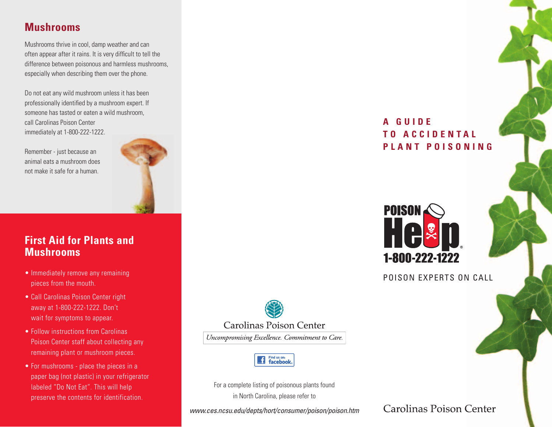# **Mushrooms**

Mushrooms thrive in cool, damp weather and can often appear after it rains. It is very difficult to tell the difference between poisonous and harmless mushrooms, especially when describing them over the phone.

Do not eat any wild mushroom unless it has been professionally identified by a mushroom expert. If someone has tasted or eaten a wild mushroom, call Carolinas Poison Center immediately at 1-800-222-1222.

Remember - just because an animal eats a mushroom does not make it safe for a human.



## **First Aid for Plants and Mushrooms**

- Immediately remove any remaining pieces from the mouth.
- Call Carolinas Poison Center right away at 1-800-222-1222. Don't wait for symptoms to appear.
- Follow instructions from Carolinas Poison Center staff about collecting any remaining plant or mushroom pieces.
- For mushrooms place the pieces in a paper bag (not plastic) in your refrigerator labeled "Do Not Eat". This will help preserve the contents for identification.

**A G U I D E T O A C C I D E N T A L O** PLANT POISONING



POISON EXPERTS ON CALL



**Carolinas Poison Center** 

Uncompromising Excellence. Commitment to Care.



For a complete listing of poisonous plants found in North Carolina, please refer to

*www.ces.ncsu.edu/depts/hort/consumer/poison/poison.htm*

**Carolinas Poison Center**